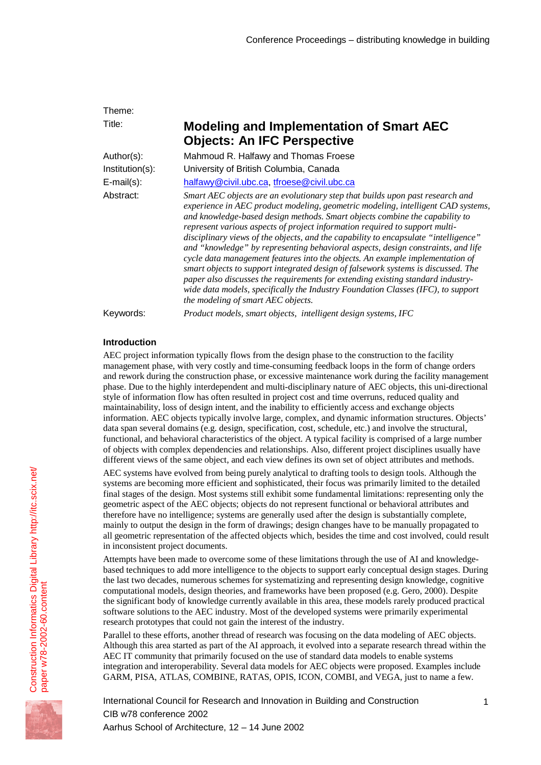| Theme:             |                                                                                                                                                                                                                                                                                                                                                                                                                                                                                                                                                                                                                                                                                                                                                                                                                                                                                               |
|--------------------|-----------------------------------------------------------------------------------------------------------------------------------------------------------------------------------------------------------------------------------------------------------------------------------------------------------------------------------------------------------------------------------------------------------------------------------------------------------------------------------------------------------------------------------------------------------------------------------------------------------------------------------------------------------------------------------------------------------------------------------------------------------------------------------------------------------------------------------------------------------------------------------------------|
| Title:             | <b>Modeling and Implementation of Smart AEC</b><br><b>Objects: An IFC Perspective</b>                                                                                                                                                                                                                                                                                                                                                                                                                                                                                                                                                                                                                                                                                                                                                                                                         |
| Author(s):         | Mahmoud R. Halfawy and Thomas Froese                                                                                                                                                                                                                                                                                                                                                                                                                                                                                                                                                                                                                                                                                                                                                                                                                                                          |
| $Institution(s)$ : | University of British Columbia, Canada                                                                                                                                                                                                                                                                                                                                                                                                                                                                                                                                                                                                                                                                                                                                                                                                                                                        |
| $E$ -mail $(s)$ :  | halfawy@civil.ubc.ca, tfroese@civil.ubc.ca                                                                                                                                                                                                                                                                                                                                                                                                                                                                                                                                                                                                                                                                                                                                                                                                                                                    |
| Abstract:          | Smart AEC objects are an evolutionary step that builds upon past research and<br>experience in AEC product modeling, geometric modeling, intelligent CAD systems,<br>and knowledge-based design methods. Smart objects combine the capability to<br>represent various aspects of project information required to support multi-<br>disciplinary views of the objects, and the capability to encapsulate "intelligence"<br>and "knowledge" by representing behavioral aspects, design constraints, and life<br>cycle data management features into the objects. An example implementation of<br>smart objects to support integrated design of falsework systems is discussed. The<br>paper also discusses the requirements for extending existing standard industry-<br>wide data models, specifically the Industry Foundation Classes (IFC), to support<br>the modeling of smart AEC objects. |
| Keywords:          | Product models, smart objects, intelligent design systems, IFC                                                                                                                                                                                                                                                                                                                                                                                                                                                                                                                                                                                                                                                                                                                                                                                                                                |

# **Introduction**

AEC project information typically flows from the design phase to the construction to the facility management phase, with very costly and time-consuming feedback loops in the form of change orders and rework during the construction phase, or excessive maintenance work during the facility management phase. Due to the highly interdependent and multi-disciplinary nature of AEC objects, this uni-directional style of information flow has often resulted in project cost and time overruns, reduced quality and maintainability, loss of design intent, and the inability to efficiently access and exchange objects information. AEC objects typically involve large, complex, and dynamic information structures. Objects' data span several domains (e.g. design, specification, cost, schedule, etc.) and involve the structural, functional, and behavioral characteristics of the object. A typical facility is comprised of a large number of objects with complex dependencies and relationships. Also, different project disciplines usually have different views of the same object, and each view defines its own set of object attributes and methods.

AEC systems have evolved from being purely analytical to drafting tools to design tools. Although the systems are becoming more efficient and sophisticated, their focus was primarily limited to the detailed final stages of the design. Most systems still exhibit some fundamental limitations: representing only the geometric aspect of the AEC objects; objects do not represent functional or behavioral attributes and therefore have no intelligence; systems are generally used after the design is substantially complete, mainly to output the design in the form of drawings; design changes have to be manually propagated to all geometric representation of the affected objects which, besides the time and cost involved, could result in inconsistent project documents.

Attempts have been made to overcome some of these limitations through the use of AI and knowledgebased techniques to add more intelligence to the objects to support early conceptual design stages. During the last two decades, numerous schemes for systematizing and representing design knowledge, cognitive computational models, design theories, and frameworks have been proposed (e.g. Gero, 2000). Despite the significant body of knowledge currently available in this area, these models rarely produced practical software solutions to the AEC industry. Most of the developed systems were primarily experimental research prototypes that could not gain the interest of the industry.

Parallel to these efforts, another thread of research was focusing on the data modeling of AEC objects. Although this area started as part of the AI approach, it evolved into a separate research thread within the AEC IT community that primarily focused on the use of standard data models to enable systems integration and interoperability. Several data models for AEC objects were proposed. Examples include GARM, PISA, ATLAS, COMBINE, RATAS, OPIS, ICON, COMBI, and VEGA, just to name a few.

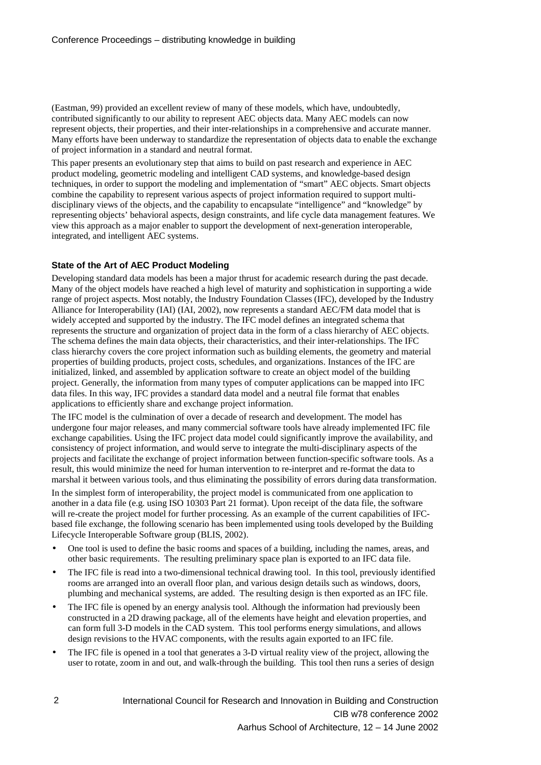(Eastman, 99) provided an excellent review of many of these models, which have, undoubtedly, contributed significantly to our ability to represent AEC objects data. Many AEC models can now represent objects, their properties, and their inter-relationships in a comprehensive and accurate manner. Many efforts have been underway to standardize the representation of objects data to enable the exchange of project information in a standard and neutral format.

This paper presents an evolutionary step that aims to build on past research and experience in AEC product modeling, geometric modeling and intelligent CAD systems, and knowledge-based design techniques, in order to support the modeling and implementation of "smart" AEC objects. Smart objects combine the capability to represent various aspects of project information required to support multidisciplinary views of the objects, and the capability to encapsulate "intelligence" and "knowledge" by representing objects' behavioral aspects, design constraints, and life cycle data management features. We view this approach as a major enabler to support the development of next-generation interoperable, integrated, and intelligent AEC systems.

### **State of the Art of AEC Product Modeling**

Developing standard data models has been a major thrust for academic research during the past decade. Many of the object models have reached a high level of maturity and sophistication in supporting a wide range of project aspects. Most notably, the Industry Foundation Classes (IFC), developed by the Industry Alliance for Interoperability (IAI) (IAI, 2002), now represents a standard AEC/FM data model that is widely accepted and supported by the industry. The IFC model defines an integrated schema that represents the structure and organization of project data in the form of a class hierarchy of AEC objects. The schema defines the main data objects, their characteristics, and their inter-relationships. The IFC class hierarchy covers the core project information such as building elements, the geometry and material properties of building products, project costs, schedules, and organizations. Instances of the IFC are initialized, linked, and assembled by application software to create an object model of the building project. Generally, the information from many types of computer applications can be mapped into IFC data files. In this way, IFC provides a standard data model and a neutral file format that enables applications to efficiently share and exchange project information.

The IFC model is the culmination of over a decade of research and development. The model has undergone four major releases, and many commercial software tools have already implemented IFC file exchange capabilities. Using the IFC project data model could significantly improve the availability, and consistency of project information, and would serve to integrate the multi-disciplinary aspects of the projects and facilitate the exchange of project information between function-specific software tools. As a result, this would minimize the need for human intervention to re-interpret and re-format the data to marshal it between various tools, and thus eliminating the possibility of errors during data transformation.

In the simplest form of interoperability, the project model is communicated from one application to another in a data file (e.g. using ISO 10303 Part 21 format). Upon receipt of the data file, the software will re-create the project model for further processing. As an example of the current capabilities of IFCbased file exchange, the following scenario has been implemented using tools developed by the Building Lifecycle Interoperable Software group (BLIS, 2002).

- One tool is used to define the basic rooms and spaces of a building, including the names, areas, and other basic requirements. The resulting preliminary space plan is exported to an IFC data file.
- The IFC file is read into a two-dimensional technical drawing tool. In this tool, previously identified rooms are arranged into an overall floor plan, and various design details such as windows, doors, plumbing and mechanical systems, are added. The resulting design is then exported as an IFC file.
- The IFC file is opened by an energy analysis tool. Although the information had previously been constructed in a 2D drawing package, all of the elements have height and elevation properties, and can form full 3-D models in the CAD system. This tool performs energy simulations, and allows design revisions to the HVAC components, with the results again exported to an IFC file.
- The IFC file is opened in a tool that generates a 3-D virtual reality view of the project, allowing the user to rotate, zoom in and out, and walk-through the building. This tool then runs a series of design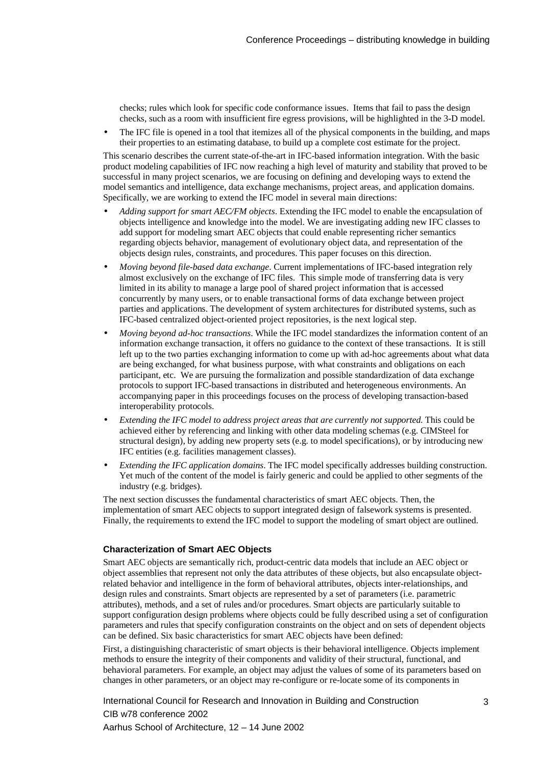checks; rules which look for specific code conformance issues. Items that fail to pass the design checks, such as a room with insufficient fire egress provisions, will be highlighted in the 3-D model.

• The IFC file is opened in a tool that itemizes all of the physical components in the building, and maps their properties to an estimating database, to build up a complete cost estimate for the project.

This scenario describes the current state-of-the-art in IFC-based information integration. With the basic product modeling capabilities of IFC now reaching a high level of maturity and stability that proved to be successful in many project scenarios, we are focusing on defining and developing ways to extend the model semantics and intelligence, data exchange mechanisms, project areas, and application domains. Specifically, we are working to extend the IFC model in several main directions:

- *Adding support for smart AEC/FM objects*. Extending the IFC model to enable the encapsulation of objects intelligence and knowledge into the model. We are investigating adding new IFC classes to add support for modeling smart AEC objects that could enable representing richer semantics regarding objects behavior, management of evolutionary object data, and representation of the objects design rules, constraints, and procedures. This paper focuses on this direction.
- *Moving beyond file-based data exchange*. Current implementations of IFC-based integration rely almost exclusively on the exchange of IFC files. This simple mode of transferring data is very limited in its ability to manage a large pool of shared project information that is accessed concurrently by many users, or to enable transactional forms of data exchange between project parties and applications. The development of system architectures for distributed systems, such as IFC-based centralized object-oriented project repositories, is the next logical step.
- *Moving beyond ad-hoc transactions*. While the IFC model standardizes the information content of an information exchange transaction, it offers no guidance to the context of these transactions. It is still left up to the two parties exchanging information to come up with ad-hoc agreements about what data are being exchanged, for what business purpose, with what constraints and obligations on each participant, etc. We are pursuing the formalization and possible standardization of data exchange protocols to support IFC-based transactions in distributed and heterogeneous environments. An accompanying paper in this proceedings focuses on the process of developing transaction-based interoperability protocols.
- *Extending the IFC model to address project areas that are currently not supported*. This could be achieved either by referencing and linking with other data modeling schemas (e.g. CIMSteel for structural design), by adding new property sets (e.g. to model specifications), or by introducing new IFC entities (e.g. facilities management classes).
- *Extending the IFC application domains*. The IFC model specifically addresses building construction. Yet much of the content of the model is fairly generic and could be applied to other segments of the industry (e.g. bridges).

The next section discusses the fundamental characteristics of smart AEC objects. Then, the implementation of smart AEC objects to support integrated design of falsework systems is presented. Finally, the requirements to extend the IFC model to support the modeling of smart object are outlined.

#### **Characterization of Smart AEC Objects**

Smart AEC objects are semantically rich, product-centric data models that include an AEC object or object assemblies that represent not only the data attributes of these objects, but also encapsulate objectrelated behavior and intelligence in the form of behavioral attributes, objects inter-relationships, and design rules and constraints. Smart objects are represented by a set of parameters (i.e. parametric attributes), methods, and a set of rules and/or procedures. Smart objects are particularly suitable to support configuration design problems where objects could be fully described using a set of configuration parameters and rules that specify configuration constraints on the object and on sets of dependent objects can be defined. Six basic characteristics for smart AEC objects have been defined:

First, a distinguishing characteristic of smart objects is their behavioral intelligence. Objects implement methods to ensure the integrity of their components and validity of their structural, functional, and behavioral parameters. For example, an object may adjust the values of some of its parameters based on changes in other parameters, or an object may re-configure or re-locate some of its components in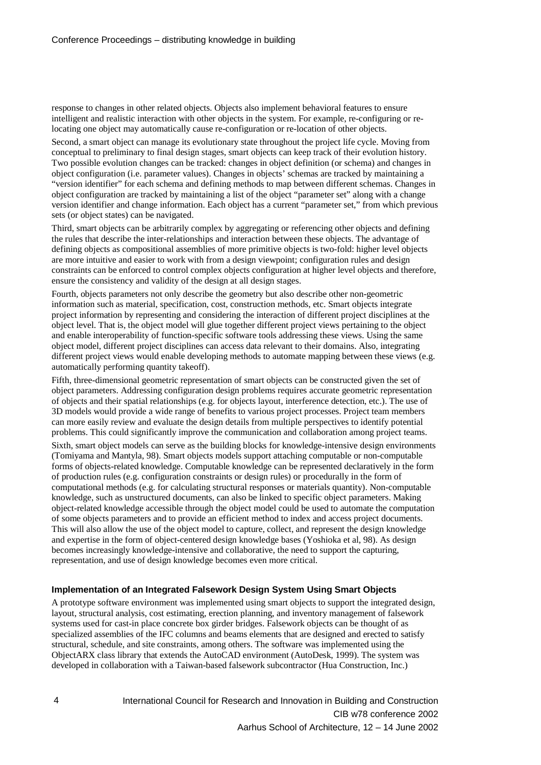response to changes in other related objects. Objects also implement behavioral features to ensure intelligent and realistic interaction with other objects in the system. For example, re-configuring or relocating one object may automatically cause re-configuration or re-location of other objects.

Second, a smart object can manage its evolutionary state throughout the project life cycle. Moving from conceptual to preliminary to final design stages, smart objects can keep track of their evolution history. Two possible evolution changes can be tracked: changes in object definition (or schema) and changes in object configuration (i.e. parameter values). Changes in objects' schemas are tracked by maintaining a "version identifier" for each schema and defining methods to map between different schemas. Changes in object configuration are tracked by maintaining a list of the object "parameter set" along with a change version identifier and change information. Each object has a current "parameter set," from which previous sets (or object states) can be navigated.

Third, smart objects can be arbitrarily complex by aggregating or referencing other objects and defining the rules that describe the inter-relationships and interaction between these objects. The advantage of defining objects as compositional assemblies of more primitive objects is two-fold: higher level objects are more intuitive and easier to work with from a design viewpoint; configuration rules and design constraints can be enforced to control complex objects configuration at higher level objects and therefore, ensure the consistency and validity of the design at all design stages.

Fourth, objects parameters not only describe the geometry but also describe other non-geometric information such as material, specification, cost, construction methods, etc. Smart objects integrate project information by representing and considering the interaction of different project disciplines at the object level. That is, the object model will glue together different project views pertaining to the object and enable interoperability of function-specific software tools addressing these views. Using the same object model, different project disciplines can access data relevant to their domains. Also, integrating different project views would enable developing methods to automate mapping between these views (e.g. automatically performing quantity takeoff).

Fifth, three-dimensional geometric representation of smart objects can be constructed given the set of object parameters. Addressing configuration design problems requires accurate geometric representation of objects and their spatial relationships (e.g. for objects layout, interference detection, etc.). The use of 3D models would provide a wide range of benefits to various project processes. Project team members can more easily review and evaluate the design details from multiple perspectives to identify potential problems. This could significantly improve the communication and collaboration among project teams.

Sixth, smart object models can serve as the building blocks for knowledge-intensive design environments (Tomiyama and Mantyla, 98). Smart objects models support attaching computable or non-computable forms of objects-related knowledge. Computable knowledge can be represented declaratively in the form of production rules (e.g. configuration constraints or design rules) or procedurally in the form of computational methods (e.g. for calculating structural responses or materials quantity). Non-computable knowledge, such as unstructured documents, can also be linked to specific object parameters. Making object-related knowledge accessible through the object model could be used to automate the computation of some objects parameters and to provide an efficient method to index and access project documents. This will also allow the use of the object model to capture, collect, and represent the design knowledge and expertise in the form of object-centered design knowledge bases (Yoshioka et al, 98). As design becomes increasingly knowledge-intensive and collaborative, the need to support the capturing, representation, and use of design knowledge becomes even more critical.

#### **Implementation of an Integrated Falsework Design System Using Smart Objects**

A prototype software environment was implemented using smart objects to support the integrated design, layout, structural analysis, cost estimating, erection planning, and inventory management of falsework systems used for cast-in place concrete box girder bridges. Falsework objects can be thought of as specialized assemblies of the IFC columns and beams elements that are designed and erected to satisfy structural, schedule, and site constraints, among others. The software was implemented using the ObjectARX class library that extends the AutoCAD environment (AutoDesk, 1999). The system was developed in collaboration with a Taiwan-based falsework subcontractor (Hua Construction, Inc.)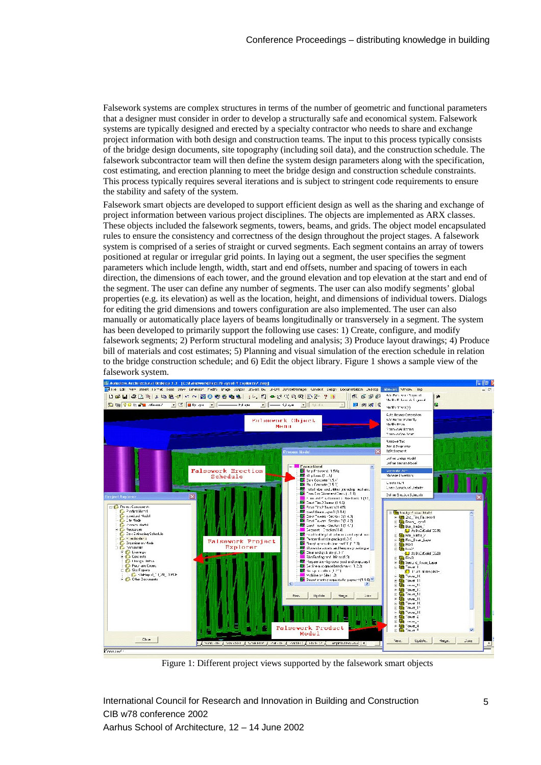Falsework systems are complex structures in terms of the number of geometric and functional parameters that a designer must consider in order to develop a structurally safe and economical system. Falsework systems are typically designed and erected by a specialty contractor who needs to share and exchange project information with both design and construction teams. The input to this process typically consists of the bridge design documents, site topography (including soil data), and the construction schedule. The falsework subcontractor team will then define the system design parameters along with the specification, cost estimating, and erection planning to meet the bridge design and construction schedule constraints. This process typically requires several iterations and is subject to stringent code requirements to ensure the stability and safety of the system.

Falsework smart objects are developed to support efficient design as well as the sharing and exchange of project information between various project disciplines. The objects are implemented as ARX classes. These objects included the falsework segments, towers, beams, and grids. The object model encapsulated rules to ensure the consistency and correctness of the design throughout the project stages. A falsework system is comprised of a series of straight or curved segments. Each segment contains an array of towers positioned at regular or irregular grid points. In laying out a segment, the user specifies the segment parameters which include length, width, start and end offsets, number and spacing of towers in each direction, the dimensions of each tower, and the ground elevation and top elevation at the start and end of the segment. The user can define any number of segments. The user can also modify segments' global properties (e.g. its elevation) as well as the location, height, and dimensions of individual towers. Dialogs for editing the grid dimensions and towers configuration are also implemented. The user can also manually or automatically place layers of beams longitudinally or transversely in a segment. The system has been developed to primarily support the following use cases: 1) Create, configure, and modify falsework segments; 2) Perform structural modeling and analysis; 3) Produce layout drawings; 4) Produce bill of materials and cost estimates; 5) Planning and visual simulation of the erection schedule in relation to the bridge construction schedule; and 6) Edit the object library. Figure 1 shows a sample view of the



Figure 1: Different project views supported by the falsework smart objects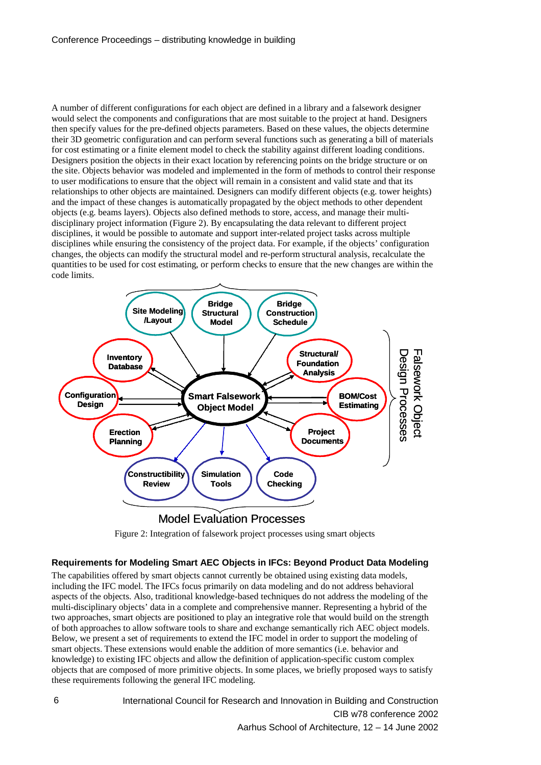A number of different configurations for each object are defined in a library and a falsework designer would select the components and configurations that are most suitable to the project at hand. Designers then specify values for the pre-defined objects parameters. Based on these values, the objects determine their 3D geometric configuration and can perform several functions such as generating a bill of materials for cost estimating or a finite element model to check the stability against different loading conditions. Designers position the objects in their exact location by referencing points on the bridge structure or on the site. Objects behavior was modeled and implemented in the form of methods to control their response to user modifications to ensure that the object will remain in a consistent and valid state and that its relationships to other objects are maintained. Designers can modify different objects (e.g. tower heights) and the impact of these changes is automatically propagated by the object methods to other dependent objects (e.g. beams layers). Objects also defined methods to store, access, and manage their multidisciplinary project information (Figure 2). By encapsulating the data relevant to different project disciplines, it would be possible to automate and support inter-related project tasks across multiple disciplines while ensuring the consistency of the project data. For example, if the objects' configuration changes, the objects can modify the structural model and re-perform structural analysis, recalculate the quantities to be used for cost estimating, or perform checks to ensure that the new changes are within the code limits.



Figure 2: Integration of falsework project processes using smart objects

#### **Requirements for Modeling Smart AEC Objects in IFCs: Beyond Product Data Modeling**

The capabilities offered by smart objects cannot currently be obtained using existing data models, including the IFC model. The IFCs focus primarily on data modeling and do not address behavioral aspects of the objects. Also, traditional knowledge-based techniques do not address the modeling of the multi-disciplinary objects' data in a complete and comprehensive manner. Representing a hybrid of the two approaches, smart objects are positioned to play an integrative role that would build on the strength of both approaches to allow software tools to share and exchange semantically rich AEC object models. Below, we present a set of requirements to extend the IFC model in order to support the modeling of smart objects. These extensions would enable the addition of more semantics (i.e. behavior and knowledge) to existing IFC objects and allow the definition of application-specific custom complex objects that are composed of more primitive objects. In some places, we briefly proposed ways to satisfy these requirements following the general IFC modeling.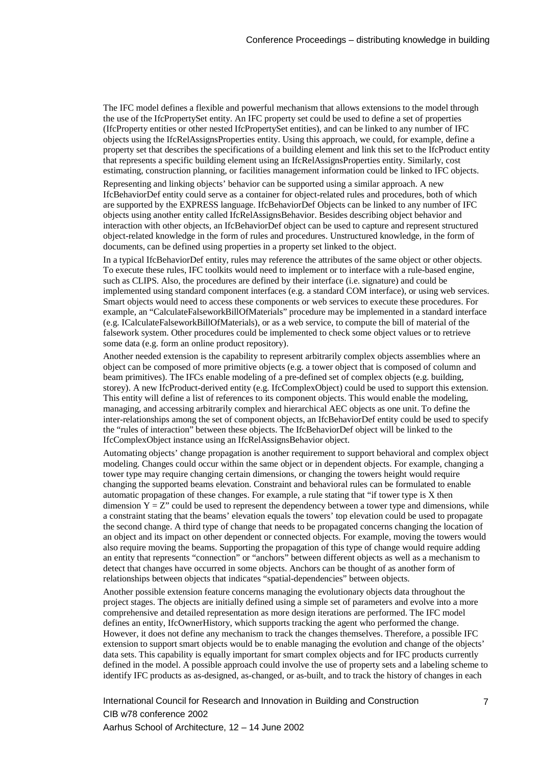The IFC model defines a flexible and powerful mechanism that allows extensions to the model through the use of the IfcPropertySet entity. An IFC property set could be used to define a set of properties (IfcProperty entities or other nested IfcPropertySet entities), and can be linked to any number of IFC objects using the IfcRelAssignsProperties entity. Using this approach, we could, for example, define a property set that describes the specifications of a building element and link this set to the IfcProduct entity that represents a specific building element using an IfcRelAssignsProperties entity. Similarly, cost estimating, construction planning, or facilities management information could be linked to IFC objects.

Representing and linking objects' behavior can be supported using a similar approach. A new IfcBehaviorDef entity could serve as a container for object-related rules and procedures, both of which are supported by the EXPRESS language. IfcBehaviorDef Objects can be linked to any number of IFC objects using another entity called IfcRelAssignsBehavior. Besides describing object behavior and interaction with other objects, an IfcBehaviorDef object can be used to capture and represent structured object-related knowledge in the form of rules and procedures. Unstructured knowledge, in the form of documents, can be defined using properties in a property set linked to the object.

In a typical IfcBehaviorDef entity, rules may reference the attributes of the same object or other objects. To execute these rules, IFC toolkits would need to implement or to interface with a rule-based engine, such as CLIPS. Also, the procedures are defined by their interface (i.e. signature) and could be implemented using standard component interfaces (e.g. a standard COM interface), or using web services. Smart objects would need to access these components or web services to execute these procedures. For example, an "CalculateFalseworkBillOfMaterials" procedure may be implemented in a standard interface (e.g. ICalculateFalseworkBillOfMaterials), or as a web service, to compute the bill of material of the falsework system. Other procedures could be implemented to check some object values or to retrieve some data (e.g. form an online product repository).

Another needed extension is the capability to represent arbitrarily complex objects assemblies where an object can be composed of more primitive objects (e.g. a tower object that is composed of column and beam primitives). The IFCs enable modeling of a pre-defined set of complex objects (e.g. building, storey). A new IfcProduct-derived entity (e.g. IfcComplexObject) could be used to support this extension. This entity will define a list of references to its component objects. This would enable the modeling, managing, and accessing arbitrarily complex and hierarchical AEC objects as one unit. To define the inter-relationships among the set of component objects, an IfcBehaviorDef entity could be used to specify the "rules of interaction" between these objects. The IfcBehaviorDef object will be linked to the IfcComplexObject instance using an IfcRelAssignsBehavior object.

Automating objects' change propagation is another requirement to support behavioral and complex object modeling. Changes could occur within the same object or in dependent objects. For example, changing a tower type may require changing certain dimensions, or changing the towers height would require changing the supported beams elevation. Constraint and behavioral rules can be formulated to enable automatic propagation of these changes. For example, a rule stating that "if tower type is X then dimension  $Y = Z''$  could be used to represent the dependency between a tower type and dimensions, while a constraint stating that the beams' elevation equals the towers' top elevation could be used to propagate the second change. A third type of change that needs to be propagated concerns changing the location of an object and its impact on other dependent or connected objects. For example, moving the towers would also require moving the beams. Supporting the propagation of this type of change would require adding an entity that represents "connection" or "anchors" between different objects as well as a mechanism to detect that changes have occurred in some objects. Anchors can be thought of as another form of relationships between objects that indicates "spatial-dependencies" between objects.

Another possible extension feature concerns managing the evolutionary objects data throughout the project stages. The objects are initially defined using a simple set of parameters and evolve into a more comprehensive and detailed representation as more design iterations are performed. The IFC model defines an entity, IfcOwnerHistory, which supports tracking the agent who performed the change. However, it does not define any mechanism to track the changes themselves. Therefore, a possible IFC extension to support smart objects would be to enable managing the evolution and change of the objects' data sets. This capability is equally important for smart complex objects and for IFC products currently defined in the model. A possible approach could involve the use of property sets and a labeling scheme to identify IFC products as as-designed, as-changed, or as-built, and to track the history of changes in each